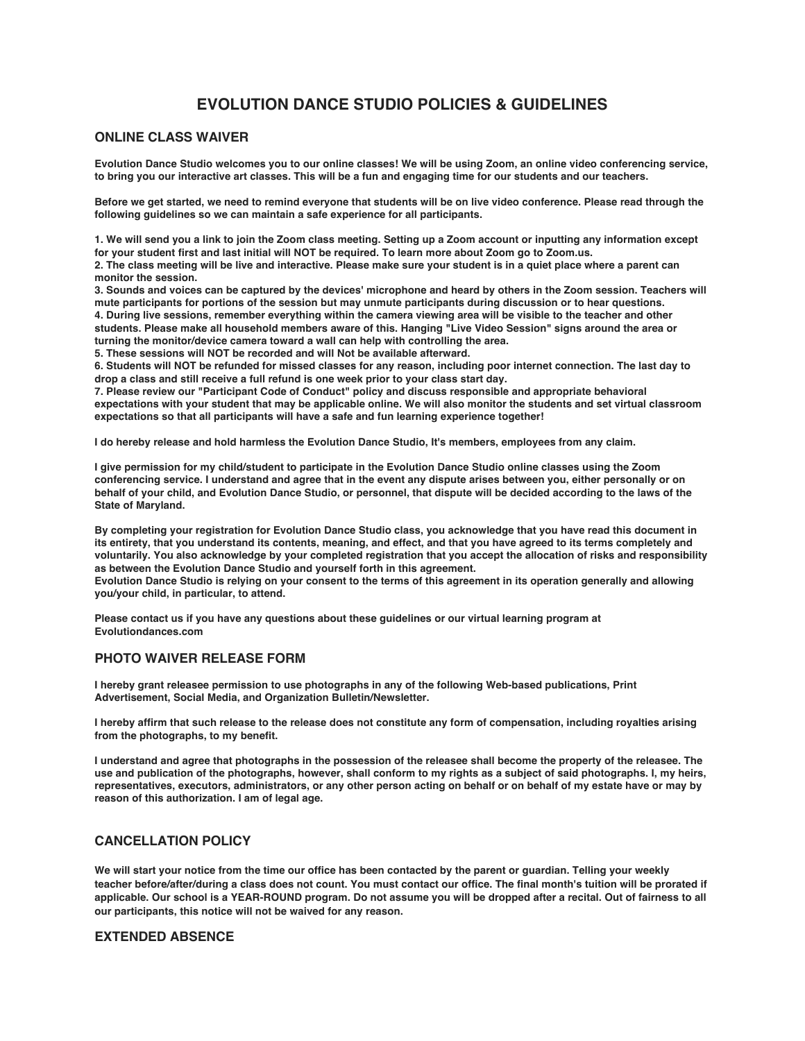# **EVOLUTION DANCE STUDIO POLICIES & GUIDELINES**

# **ONLINE CLASS WAIVER**

**Evolution Dance Studio welcomes you to our online classes! We will be using Zoom, an online video conferencing service, to bring you our interactive art classes. This will be a fun and engaging time for our students and our teachers.**

**Before we get started, we need to remind everyone that students will be on live video conference. Please read through the following guidelines so we can maintain a safe experience for all participants.**

**1. We will send you a link to join the Zoom class meeting. Setting up a Zoom account or inputting any information except for your student first and last initial will NOT be required. To learn more about Zoom go to Zoom.us.**

**2. The class meeting will be live and interactive. Please make sure your student is in a quiet place where a parent can monitor the session.**

**3. Sounds and voices can be captured by the devices' microphone and heard by others in the Zoom session. Teachers will mute participants for portions of the session but may unmute participants during discussion or to hear questions. 4. During live sessions, remember everything within the camera viewing area will be visible to the teacher and other students. Please make all household members aware of this. Hanging "Live Video Session" signs around the area or turning the monitor/device camera toward a wall can help with controlling the area.**

**5. These sessions will NOT be recorded and will Not be available afterward.**

**6. Students will NOT be refunded for missed classes for any reason, including poor internet connection. The last day to drop a class and still receive a full refund is one week prior to your class start day.**

**7. Please review our "Participant Code of Conduct" policy and discuss responsible and appropriate behavioral expectations with your student that may be applicable online. We will also monitor the students and set virtual classroom expectations so that all participants will have a safe and fun learning experience together!**

**I do hereby release and hold harmless the Evolution Dance Studio, It's members, employees from any claim.**

**I give permission for my child/student to participate in the Evolution Dance Studio online classes using the Zoom conferencing service. I understand and agree that in the event any dispute arises between you, either personally or on behalf of your child, and Evolution Dance Studio, or personnel, that dispute will be decided according to the laws of the State of Maryland.**

**By completing your registration for Evolution Dance Studio class, you acknowledge that you have read this document in its entirety, that you understand its contents, meaning, and effect, and that you have agreed to its terms completely and voluntarily. You also acknowledge by your completed registration that you accept the allocation of risks and responsibility as between the Evolution Dance Studio and yourself forth in this agreement.**

**Evolution Dance Studio is relying on your consent to the terms of this agreement in its operation generally and allowing you/your child, in particular, to attend.**

**Please contact us if you have any questions about these guidelines or our virtual learning program at Evolutiondances.com**

# **PHOTO WAIVER RELEASE FORM**

**I hereby grant releasee permission to use photographs in any of the following Web-based publications, Print Advertisement, Social Media, and Organization Bulletin/Newsletter.**

**I hereby affirm that such release to the release does not constitute any form of compensation, including royalties arising from the photographs, to my benefit.**

**I understand and agree that photographs in the possession of the releasee shall become the property of the releasee. The use and publication of the photographs, however, shall conform to my rights as a subject of said photographs. I, my heirs, representatives, executors, administrators, or any other person acting on behalf or on behalf of my estate have or may by reason of this authorization. I am of legal age.**

# **CANCELLATION POLICY**

**We will start your notice from the time our office has been contacted by the parent or guardian. Telling your weekly teacher before/after/during a class does not count. You must contact our office. The final month's tuition will be prorated if applicable. Our school is a YEAR-ROUND program. Do not assume you will be dropped after a recital. Out of fairness to all our participants, this notice will not be waived for any reason.**

# **EXTENDED ABSENCE**